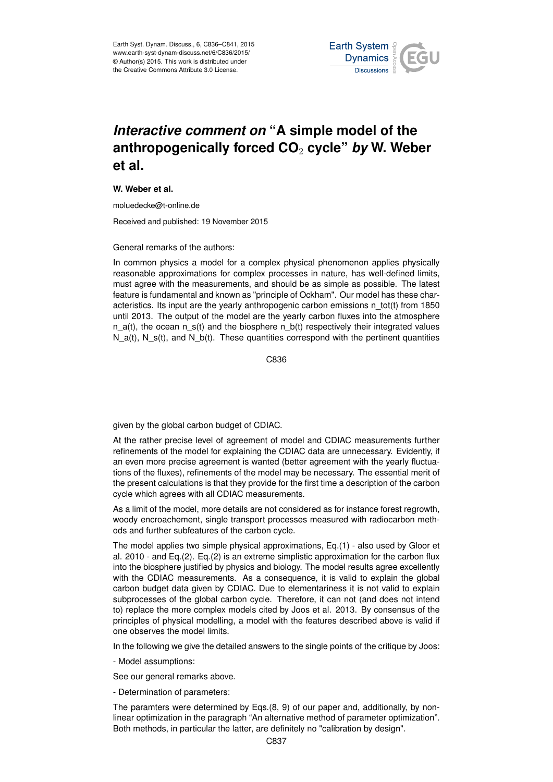

## *Interactive comment on* **"A simple model of the anthropogenically forced CO**<sup>2</sup> **cycle"** *by* **W. Weber et al.**

## **W. Weber et al.**

moluedecke@t-online.de

Received and published: 19 November 2015

## General remarks of the authors:

In common physics a model for a complex physical phenomenon applies physically reasonable approximations for complex processes in nature, has well-defined limits, must agree with the measurements, and should be as simple as possible. The latest feature is fundamental and known as "principle of Ockham". Our model has these characteristics. Its input are the yearly anthropogenic carbon emissions n\_tot(t) from 1850 until 2013. The output of the model are the yearly carbon fluxes into the atmosphere n  $a(t)$ , the ocean n  $s(t)$  and the biosphere n  $b(t)$  respectively their integrated values N  $a(t)$ , N  $s(t)$ , and N  $b(t)$ . These quantities correspond with the pertinent quantities

C836

given by the global carbon budget of CDIAC.

At the rather precise level of agreement of model and CDIAC measurements further refinements of the model for explaining the CDIAC data are unnecessary. Evidently, if an even more precise agreement is wanted (better agreement with the yearly fluctuations of the fluxes), refinements of the model may be necessary. The essential merit of the present calculations is that they provide for the first time a description of the carbon cycle which agrees with all CDIAC measurements.

As a limit of the model, more details are not considered as for instance forest regrowth, woody encroachement, single transport processes measured with radiocarbon methods and further subfeatures of the carbon cycle.

The model applies two simple physical approximations, Eq.(1) - also used by Gloor et al. 2010 - and Eq.(2). Eq.(2) is an extreme simplistic approximation for the carbon flux into the biosphere justified by physics and biology. The model results agree excellently with the CDIAC measurements. As a consequence, it is valid to explain the global carbon budget data given by CDIAC. Due to elementariness it is not valid to explain subprocesses of the global carbon cycle. Therefore, it can not (and does not intend to) replace the more complex models cited by Joos et al. 2013. By consensus of the principles of physical modelling, a model with the features described above is valid if one observes the model limits.

In the following we give the detailed answers to the single points of the critique by Joos:

- Model assumptions:

See our general remarks above.

- Determination of parameters:

The paramters were determined by Eqs.(8, 9) of our paper and, additionally, by nonlinear optimization in the paragraph "An alternative method of parameter optimization". Both methods, in particular the latter, are definitely no "calibration by design".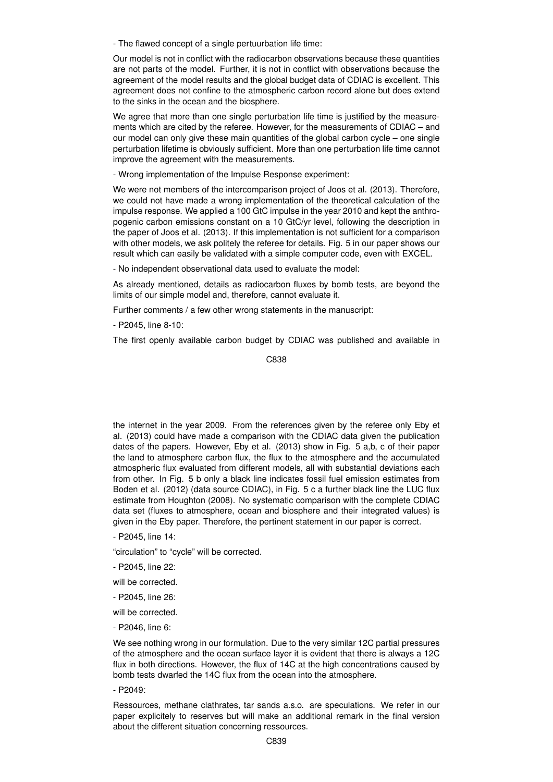- The flawed concept of a single pertuurbation life time:

Our model is not in conflict with the radiocarbon observations because these quantities are not parts of the model. Further, it is not in conflict with observations because the agreement of the model results and the global budget data of CDIAC is excellent. This agreement does not confine to the atmospheric carbon record alone but does extend to the sinks in the ocean and the biosphere.

We agree that more than one single perturbation life time is justified by the measurements which are cited by the referee. However, for the measurements of CDIAC – and our model can only give these main quantities of the global carbon cycle – one single perturbation lifetime is obviously sufficient. More than one perturbation life time cannot improve the agreement with the measurements.

- Wrong implementation of the Impulse Response experiment:

We were not members of the intercomparison project of Joos et al. (2013). Therefore, we could not have made a wrong implementation of the theoretical calculation of the impulse response. We applied a 100 GtC impulse in the year 2010 and kept the anthropogenic carbon emissions constant on a 10 GtC/yr level, following the description in the paper of Joos et al. (2013). If this implementation is not sufficient for a comparison with other models, we ask politely the referee for details. Fig. 5 in our paper shows our result which can easily be validated with a simple computer code, even with EXCEL.

- No independent observational data used to evaluate the model:

As already mentioned, details as radiocarbon fluxes by bomb tests, are beyond the limits of our simple model and, therefore, cannot evaluate it.

Further comments / a few other wrong statements in the manuscript:

- P2045, line 8-10:

The first openly available carbon budget by CDIAC was published and available in

C838

the internet in the year 2009. From the references given by the referee only Eby et al. (2013) could have made a comparison with the CDIAC data given the publication dates of the papers. However, Eby et al. (2013) show in Fig. 5 a,b, c of their paper the land to atmosphere carbon flux, the flux to the atmosphere and the accumulated atmospheric flux evaluated from different models, all with substantial deviations each from other. In Fig. 5 b only a black line indicates fossil fuel emission estimates from Boden et al. (2012) (data source CDIAC), in Fig. 5 c a further black line the LUC flux estimate from Houghton (2008). No systematic comparison with the complete CDIAC data set (fluxes to atmosphere, ocean and biosphere and their integrated values) is given in the Eby paper. Therefore, the pertinent statement in our paper is correct.

- P2045, line 14:
- "circulation" to "cycle" will be corrected.
- P2045, line 22:
- will be corrected.
- P2045, line 26:
- will be corrected.
- P2046, line 6:

We see nothing wrong in our formulation. Due to the very similar 12C partial pressures of the atmosphere and the ocean surface layer it is evident that there is always a 12C flux in both directions. However, the flux of 14C at the high concentrations caused by bomb tests dwarfed the 14C flux from the ocean into the atmosphere.

- P2049:

Ressources, methane clathrates, tar sands a.s.o. are speculations. We refer in our paper explicitely to reserves but will make an additional remark in the final version about the different situation concerning ressources.